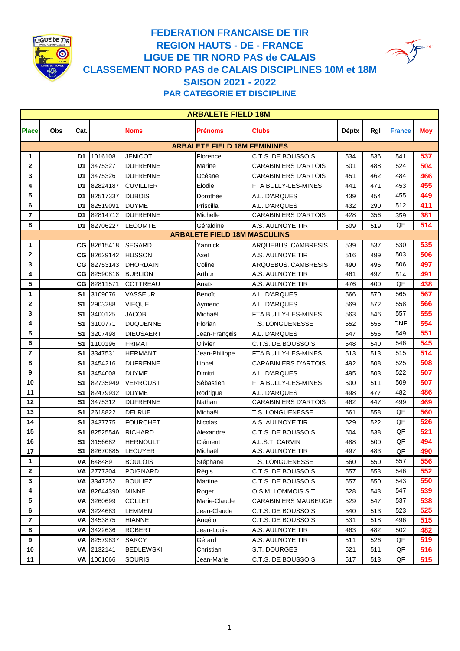

## **FEDERATION FRANCAISE DE TIR LIGUE DE TIR NORD PAS de CALAIS CLASSEMENT NORD PAS de CALAIS DISCIPLINES 10M et 18M SAISON 2021 - 2022 PAR CATEGORIE ET DISCIPLINE REGION HAUTS - DE - FRANCE**

| <b>ARBALETE FIELD 18M</b> |     |                |             |                  |                                     |                             |              |     |               |            |
|---------------------------|-----|----------------|-------------|------------------|-------------------------------------|-----------------------------|--------------|-----|---------------|------------|
| <b>Place</b>              | Obs | Cat.           |             | <b>Noms</b>      | Prénoms                             | <b>Clubs</b>                | <b>Déptx</b> | Rgl | <b>France</b> | <b>Moy</b> |
|                           |     |                |             |                  | <b>ARBALETE FIELD 18M FEMININES</b> |                             |              |     |               |            |
| 1                         |     | D1             | 1016108     | <b>JENICOT</b>   | Florence                            | C.T.S. DE BOUSSOIS          | 534          | 536 | 541           | 537        |
| $\mathbf{2}$              |     | D <sub>1</sub> | 3475327     | <b>DUFRENNE</b>  | Marine                              | <b>CARABINIERS D'ARTOIS</b> | 501          | 488 | 524           | 504        |
| 3                         |     | D1             | 3475326     | <b>DUFRENNE</b>  | Océane                              | <b>CARABINIERS D'ARTOIS</b> | 451          | 462 | 484           | 466        |
| 4                         |     | D <sub>1</sub> | 82824187    | <b>CUVILLIER</b> | Elodie                              | FTA BULLY-LES-MINES         | 441          | 471 | 453           | 455        |
| 5                         |     | D <sub>1</sub> | 82517337    | <b>DUBOIS</b>    | Dorothée                            | A.L. D'ARQUES               | 439          | 454 | 455           | 449        |
| 6                         |     | D1             | 82519091    | <b>DUYME</b>     | Priscilla                           | A.L. D'ARQUES               | 432          | 290 | 512           | 411        |
| $\overline{7}$            |     | D1             | 82814712    | <b>DUFRENNE</b>  | Michelle                            | <b>CARABINIERS D'ARTOIS</b> | 428          | 356 | 359           | 381        |
| 8                         |     | D <sub>1</sub> | 82706227    | <b>LECOMTE</b>   | Géraldine                           | A.S. AULNOYE TIR            | 509          | 519 | QF            | 514        |
|                           |     |                |             |                  | <b>ARBALETE FIELD 18M MASCULINS</b> |                             |              |     |               |            |
| 1                         |     | CG.            | 82615418    | <b>SEGARD</b>    | Yannick                             | ARQUEBUS. CAMBRESIS         | 539          | 537 | 530           | 535        |
| $\mathbf{2}$              |     | CG.            | 82629142    | <b>HUSSON</b>    | Axel                                | A.S. AULNOYE TIR            | 516          | 499 | 503           | 506        |
| 3                         |     | CG             | 82753143    | <b>DHORDAIN</b>  | Coline                              | ARQUEBUS. CAMBRESIS         | 490          | 496 | 506           | 497        |
| 4                         |     |                | CG 82590818 | <b>BURLION</b>   | Arthur                              | A.S. AULNOYE TIR            | 461          | 497 | 514           | 491        |
| 5                         |     | CG             | 82811571    | <b>COTTREAU</b>  | Anaïs                               | A.S. AULNOYE TIR            | 476          | 400 | QF            | 438        |
| 1                         |     | S <sub>1</sub> | 3109076     | <b>VASSEUR</b>   | Benoït                              | A.L. D'ARQUES               | 566          | 570 | 565           | 567        |
| $\mathbf{2}$              |     | S <sub>1</sub> | 2903288     | VIEQUE           | Aymeric                             | A.L. D'ARQUES               | 569          | 572 | 558           | 566        |
| 3                         |     | S <sub>1</sub> | 3400125     | JACOB            | Michaël                             | FTA BULLY-LES-MINES         | 563          | 546 | 557           | 555        |
| 4                         |     | S <sub>1</sub> | 3100771     | <b>DUQUENNE</b>  | Florian                             | <b>T.S. LONGUENESSE</b>     | 552          | 555 | <b>DNF</b>    | 554        |
| 5                         |     | S <sub>1</sub> | 3207498     | <b>DIEUSAERT</b> | Jean-François                       | A.L. D'ARQUES               | 547          | 556 | 549           | 551        |
| 6                         |     | S <sub>1</sub> | 1100196     | <b>FRIMAT</b>    | Olivier                             | C.T.S. DE BOUSSOIS          | 548          | 540 | 546           | 545        |
| 7                         |     | S <sub>1</sub> | 3347531     | <b>HERMANT</b>   | Jean-Philippe                       | FTA BULLY-LES-MINES         | 513          | 513 | 515           | 514        |
| 8                         |     | S <sub>1</sub> | 3454216     | <b>DUFRENNE</b>  | Lionel                              | <b>CARABINIERS D'ARTOIS</b> | 492          | 508 | 525           | 508        |
| 9                         |     | S <sub>1</sub> | 3454008     | <b>DUYME</b>     | Dimitri                             | A.L. D'ARQUES               | 495          | 503 | 522           | 507        |
| 10                        |     | S <sub>1</sub> | 82735949    | <b>VERROUST</b>  | Sébastien                           | FTA BULLY-LES-MINES         | 500          | 511 | 509           | 507        |
| 11                        |     | S <sub>1</sub> | 82479932    | <b>DUYME</b>     | Rodrigue                            | A.L. D'ARQUES               | 498          | 477 | 482           | 486        |
| 12                        |     | S <sub>1</sub> | 3475312     | <b>DUFRENNE</b>  | Nathan                              | <b>CARABINIERS D'ARTOIS</b> | 462          | 447 | 499           | 469        |
| 13                        |     | S <sub>1</sub> | 2618822     | <b>DELRUE</b>    | Michaël                             | T.S. LONGUENESSE            | 561          | 558 | QF            | 560        |
| 14                        |     | S <sub>1</sub> | 3437775     | <b>FOURCHET</b>  | Nicolas                             | A.S. AULNOYE TIR            | 529          | 522 | QF            | 526        |
| 15                        |     | S <sub>1</sub> | 82525546    | <b>RICHARD</b>   | Alexandre                           | C.T.S. DE BOUSSOIS          | 504          | 538 | QF            | 521        |
| 16                        |     | S <sub>1</sub> | 3156682     | <b>HERNOULT</b>  | Clément                             | A.L.S.T. CARVIN             | 488          | 500 | QF            | 494        |
| 17                        |     | S <sub>1</sub> | 82670885    | <b>LECUYER</b>   | Michaël                             | A.S. AULNOYE TIR            | 497          | 483 | QF            | 490        |
| 1                         |     |                | VA 648489   | <b>BOULOIS</b>   | Stéphane                            | <b>T.S. LONGUENESSE</b>     | 560          | 550 | 557           | 556        |
| $\mathbf{2}$              |     |                | VA 2777304  | <b>POIGNARD</b>  | Régis                               | C.T.S. DE BOUSSOIS          | 557          | 553 | 546           | 552        |
| 3                         |     | VA             | 3347252     | <b>BOULIEZ</b>   | Martine                             | C.T.S. DE BOUSSOIS          | 557          | 550 | 543           | 550        |
| 4                         |     | VA             | 82644390    | <b>MINNE</b>     | Roger                               | O.S.M. LOMMOIS S.T.         | 528          | 543 | 547           | 539        |
| 5                         |     | VA             | 3260699     | <b>COLLET</b>    | Marie-Claude                        | <b>CARABINIERS MAUBEUGE</b> | 529          | 547 | 537           | 538        |
| 6                         |     |                | VA 3224683  | <b>LEMMEN</b>    | Jean-Claude                         | C.T.S. DE BOUSSOIS          | 540          | 513 | 523           | 525        |
| $\overline{\mathbf{r}}$   |     |                | VA 3453875  | <b>HIANNE</b>    | Angélo                              | C.T.S. DE BOUSSOIS          | 531          | 518 | 496           | 515        |
| 8                         |     | VA             | 3422636     | <b>ROBERT</b>    | Jean-Louis                          | A.S. AULNOYE TIR            | 463          | 482 | 502           | 482        |
| 9                         |     | VA             | 82579837    | SARCY            | Gérard                              | A.S. AULNOYE TIR            | 511          | 526 | QF            | 519        |
| 10                        |     | VA             | 2132141     | <b>BEDLEWSKI</b> | Christian                           | S.T. DOURGES                | 521          | 511 | QF            | 516        |
| 11                        |     |                | VA 1001066  | <b>SOURIS</b>    | Jean-Marie                          | C.T.S. DE BOUSSOIS          | 517          | 513 | QF            | 515        |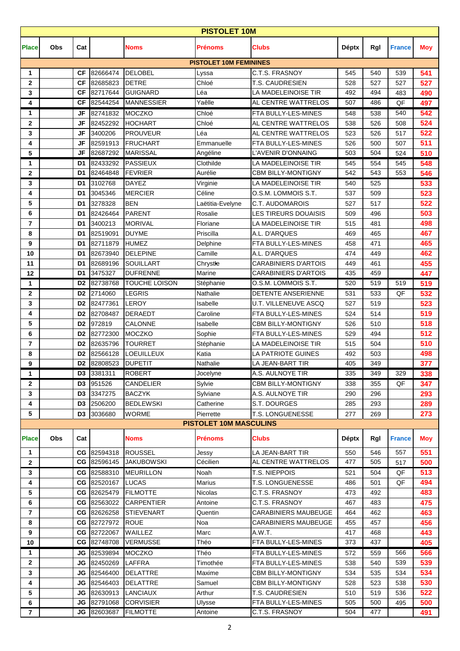|                     | <b>PISTOLET 10M</b> |                 |                                   |                                     |                               |                                               |              |            |               |            |  |
|---------------------|---------------------|-----------------|-----------------------------------|-------------------------------------|-------------------------------|-----------------------------------------------|--------------|------------|---------------|------------|--|
| <b>Place</b>        | Obs                 | Cat             |                                   | <b>Noms</b>                         | Prénoms                       | <b>Clubs</b>                                  | <b>Déptx</b> | Rgl        | <b>France</b> | <b>Moy</b> |  |
|                     |                     |                 |                                   |                                     | <b>PISTOLET 10M FEMININES</b> |                                               |              |            |               |            |  |
| 1                   |                     | <b>CF</b>       | 82666474                          | <b>DELOBEL</b>                      | Lyssa                         | C.T.S. FRASNOY                                | 545          | 540        | 539           | 541        |  |
| $\mathbf{2}$        |                     | <b>CF</b>       | 82685823                          | <b>DETRE</b>                        | Chloé                         | T.S. CAUDRESIEN                               | 528          | 527        | 527           | 527        |  |
| 3                   |                     | <b>CF</b>       | 82717644                          | <b>GUIGNARD</b>                     | Léa                           | LA MADELEINOISE TIR                           | 492          | 494        | 483           | 490        |  |
| 4                   |                     | <b>CF</b>       | 82544254                          | <b>MANNESSIER</b>                   | Yaêlle                        | AL CENTRE WATTRELOS                           | 507          | 486        | QF            | 497        |  |
| 1                   |                     | JF              | 82741832                          | <b>MOCZKO</b>                       | Chloé                         | FTA BULLY-LES-MINES                           | 548          | 538        | 540           | 542        |  |
| $\mathbf{2}$        |                     | JF<br><b>JF</b> | 82452292                          | <b>HOCHART</b>                      | Chloé                         | AL CENTRE WATTRELOS                           | 538          | 526        | 508<br>517    | 524<br>522 |  |
| 3<br>4              |                     | <b>JF</b>       | 3400206<br>82591913               | <b>PROUVEUR</b><br><b>FRUCHART</b>  | Léa<br>Emmanuelle             | AL CENTRE WATTRELOS<br>FTA BULLY-LES-MINES    | 523<br>526   | 526<br>500 | 507           | 511        |  |
| 5                   |                     | JF              | 82687292                          | <b>MARISSAL</b>                     | Angéline                      | L'AVENIR D'ONNAING                            | 503          | 504        | 524           | 510        |  |
| 1                   |                     | D <sub>1</sub>  | 82433292                          | <b>PASSIEUX</b>                     | Clothilde                     | LA MADELEINOISE TIR                           | 545          | 554        | 545           | 548        |  |
| $\mathbf{2}$        |                     | D <sub>1</sub>  | 82464848                          | <b>FEVRIER</b>                      | Aurélie                       | <b>CBM BILLY-MONTIGNY</b>                     | 542          | 543        | 553           | 546        |  |
| 3                   |                     | D <sub>1</sub>  | 3102768                           | <b>DAYEZ</b>                        | Virginie                      | LA MADELEINOISE TIR                           | 540          | 525        |               | 533        |  |
| 4                   |                     | D <sub>1</sub>  | 3045346                           | <b>MERCIER</b>                      | Céline                        | O.S.M. LOMMOIS S.T.                           | 537          | 509        |               | 523        |  |
| 5                   |                     | D <sub>1</sub>  | 3278328                           | <b>BEN</b>                          | Laëtitia-Evelyne              | C.T. AUDOMAROIS                               | 527          | 517        |               | 522        |  |
| 6                   |                     | D <sub>1</sub>  | 82426464                          | <b>PARENT</b>                       | Rosalie                       | <b>LES TIREURS DOUAISIS</b>                   | 509          | 496        |               | 503        |  |
| 7                   |                     | D <sub>1</sub>  | 3400213                           | <b>MORIVAL</b>                      | Floriane                      | LA MADELEINOISE TIR                           | 515          | 481        |               | 498        |  |
| 8                   |                     | D <sub>1</sub>  | 82519091                          | <b>DUYME</b>                        | Priscilla                     | A.L. D'ARQUES                                 | 469          | 465        |               | 467        |  |
| 9                   |                     | D <sub>1</sub>  | 82711879                          | <b>HUMEZ</b>                        | Delphine                      | FTA BULLY-LES-MINES                           | 458          | 471        |               | 465        |  |
| 10                  |                     | D <sub>1</sub>  | 82673940                          | DELEPINE                            | Camille                       | A.L. D'ARQUES                                 | 474          | 449        |               | 462        |  |
| 11                  |                     | D1              | 82689196                          | <b>SOUILLART</b>                    | Chrystle                      | <b>CARABINIERS D'ARTOIS</b>                   | 449          | 461        |               | 455        |  |
| 12                  |                     | D1              | 3475327                           | <b>DUFRENNE</b>                     | Marine                        | <b>CARABINIERS D'ARTOIS</b>                   | 435          | 459        |               | 447        |  |
| 1                   |                     | D <sub>2</sub>  | 82738768                          | <b>TOUCHE LOISON</b>                | Stéphanie                     | O.S.M. LOMMOIS S.T.                           | 520          | 519        | 519           | 519        |  |
| $\mathbf{2}$        |                     | D <sub>2</sub>  | 2714060                           | <b>LEGRIS</b>                       | Nathalie                      | DETENTE ANSERIENNE                            | 531          | 533        | QF            | 532        |  |
| 3                   |                     | D <sub>2</sub>  | 82477361                          | <b>LEROY</b>                        | Isabelle                      | <b>U.T. VILLENEUVE ASCQ</b>                   | 527          | 519        |               | 523        |  |
| 4                   |                     | D <sub>2</sub>  | 82708487                          | <b>DERAEDT</b>                      | Caroline                      | FTA BULLY-LES-MINES                           | 524          | 514        |               | 519        |  |
| 5                   |                     | D <sub>2</sub>  | 972819                            | <b>CALONNE</b>                      | Isabelle                      | <b>CBM BILLY-MONTIGNY</b>                     | 526          | 510        |               | 518        |  |
| 6                   |                     | D <sub>2</sub>  | 82772300                          | <b>MOCZKO</b>                       | Sophie                        | FTA BULLY-LES-MINES                           | 529          | 494        |               | 512        |  |
| $\overline{7}$      |                     | D <sub>2</sub>  | 82635796                          | <b>TOURRET</b>                      | Stéphanie                     | LA MADELEINOISE TIR                           | 515          | 504        |               | 510        |  |
| 8                   |                     | D <sub>2</sub>  | 82566128                          | <b>LOEUILLEUX</b>                   | Katia                         | LA PATRIOTE GUINES                            | 492          | 503        |               | 498        |  |
| 9                   |                     | D <sub>2</sub>  | 82808523                          | <b>DUPETIT</b>                      | Nathalie                      | LA JEAN-BART TIR                              | 405          | 349        |               | 377        |  |
| 1                   |                     |                 | D3 3381311                        | <b>ROBERT</b>                       | Jocelyne                      | A.S. AULNOYE TIR                              | 335          | 349        | 329           | 338        |  |
| $\mathbf{2}$        |                     | D <sub>3</sub>  | 951526                            | <b>CANDELIER</b>                    | Sylvie                        | <b>CBM BILLY-MONTIGNY</b>                     | 338          | 355        | QF            | 347        |  |
| 3                   |                     | D <sub>3</sub>  | 3347275                           | <b>BACZYK</b>                       | Sylviane                      | A.S. AULNOYE TIR                              | 290          | 296        |               | 293        |  |
| 4                   |                     | D <sub>3</sub>  | 2506200                           | <b>BEDLEWSKI</b>                    | Catherine                     | S.T. DOURGES                                  | 285          | 293        |               | 289        |  |
| 5                   |                     | D3              | 3036680                           | <b>WORME</b>                        | Pierrette                     | T.S. LONGUENESSE                              | 277          | 269        |               | 273        |  |
|                     |                     |                 |                                   |                                     | <b>PISTOLET 10M MASCULINS</b> |                                               |              |            |               |            |  |
| <b>Place</b>        | Obs                 | Cat             |                                   | <b>Noms</b>                         | Prénoms                       | <b>Clubs</b>                                  | Déptx        | RgI        | <b>France</b> | Moy        |  |
| 1                   |                     |                 | CG 82594318                       | <b>ROUSSEL</b>                      | Jessy                         | LA JEAN-BART TIR                              | 550          | 546        | 557           | 551        |  |
| $\mathbf{2}$        |                     |                 | CG 82596145                       | <b>JAKUBOWSKI</b>                   | Cécilien                      | AL CENTRE WATTRELOS                           | 477          | 505        | 517           | 500        |  |
| 3                   |                     | CG              | 82588310                          | <b>MEURILLON</b>                    | Noah                          | T.S. NIEPPOIS                                 | 521          | 504        | QF            | 513        |  |
| 4                   |                     | СG              | 82520167                          | <b>LUCAS</b>                        | Marius                        | T.S. LONGUENESSE                              | 486          | 501        | QF            | 494        |  |
| 5                   |                     |                 | CG 82625479                       | <b>FILMOTTE</b>                     | <b>Nicolas</b>                | C.T.S. FRASNOY                                | 473          | 492        |               | 483        |  |
| 6                   |                     |                 | CG 82563022                       | <b>CARPENTIER</b>                   | Antoine                       | C.T.S. FRASNOY                                | 467          | 483        |               | 475        |  |
| $\overline{7}$      |                     |                 | CG 82626258                       | <b>STIEVENART</b>                   | Quentin                       | <b>CARABINIERS MAUBEUGE</b>                   | 464          | 462        |               | 463        |  |
| 8                   |                     |                 | CG 82727972                       | <b>ROUE</b>                         | Noa                           | CARABINIERS MAUBEUGE                          | 455          | 457        |               | 456        |  |
| 9                   |                     |                 | CG 82722067                       | WAILLEZ                             | Marc                          | A.W.T.                                        | 417          | 468        |               | 443        |  |
| 10                  |                     |                 | CG 82748708                       | <b>VERMUSSE</b>                     | Théo                          | FTA BULLY-LES-MINES                           | 373          | 437        |               | 405        |  |
| $\mathbf{1}$        |                     | JG              | 82539894                          | <b>MOCZKO</b>                       | Théo                          | FTA BULLY-LES-MINES                           | 572          | 559        | 566           | 566        |  |
| $\mathbf{2}$        |                     | JG              | 82450269                          | <b>LAFFRA</b>                       | Timothée                      | FTA BULLY-LES-MINES                           | 538          | 540        | 539           | 539        |  |
| 3                   |                     | JG              | 82546400                          | <b>DELATTRE</b>                     | Maxime                        | <b>CBM BILLY-MONTIGNY</b>                     | 534          | 535        | 534           | 534        |  |
| 4                   |                     | JG              | 82546403                          | <b>DELATTRE</b>                     | Samuel                        | <b>CBM BILLY-MONTIGNY</b>                     | 528          | 523        | 538           | 530        |  |
| 5                   |                     | JG              | 82630913                          | <b>LANCIAUX</b>                     | Arthur                        | <b>T.S. CAUDRESIEN</b><br>FTA BULLY-LES-MINES | 510          | 519        | 536           | 522        |  |
| 6<br>$\overline{7}$ |                     |                 | <b>JG</b> 82791068<br>JG 82603687 | <b>CORVISIER</b><br><b>FILMOTTE</b> | Ulysse<br>Antoine             | C.T.S. FRASNOY                                | 505<br>504   | 500<br>477 | 495           | 500<br>491 |  |
|                     |                     |                 |                                   |                                     |                               |                                               |              |            |               |            |  |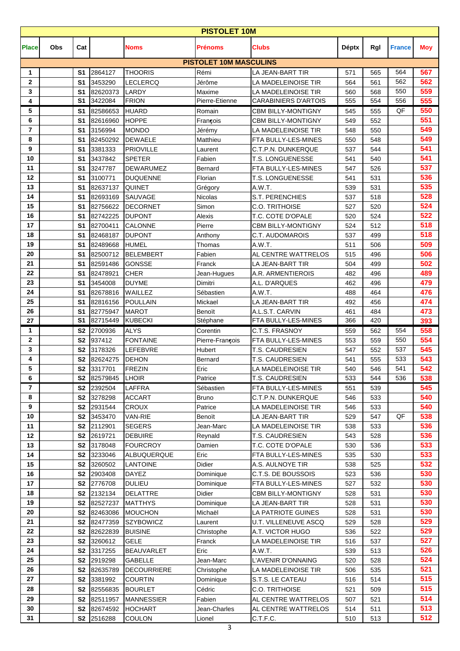| <b>PISTOLET 10M</b> |     |                                  |                        |                              |                               |                                                  |              |            |               |            |  |
|---------------------|-----|----------------------------------|------------------------|------------------------------|-------------------------------|--------------------------------------------------|--------------|------------|---------------|------------|--|
| <b>Place</b>        | Obs | Cat                              |                        | <b>Noms</b>                  | Prénoms                       | <b>Clubs</b>                                     | <b>Déptx</b> | Rgl        | <b>France</b> | <b>Moy</b> |  |
|                     |     |                                  |                        |                              | <b>PISTOLET 10M MASCULINS</b> |                                                  |              |            |               |            |  |
| 1                   |     | S <sub>1</sub>                   | 2864127                | <b>THOORIS</b>               | Rémi                          | LA JEAN-BART TIR                                 | 571          | 565        | 564           | 567        |  |
| $\mathbf{2}$        |     | S1                               | 3453290                | <b>LECLERCQ</b>              | Jérôme                        | LA MADELEINOISE TIR                              | 564          | 561        | 562           | 562        |  |
| 3                   |     | S <sub>1</sub>                   | 82620373               | <b>LARDY</b><br><b>FRION</b> | Maxime<br>Pierre-Etienne      | LA MADELEINOISE TIR                              | 560          | 568        | 550           | 559        |  |
| 4                   |     | S <sub>1</sub>                   | 3422084                |                              |                               | <b>CARABINIERS D'ARTOIS</b>                      | 555          | 554        | 556<br>QF     | 555<br>550 |  |
| 5<br>6              |     | S <sub>1</sub>                   | 82586653               | <b>HUARD</b>                 | Romain                        | <b>CBM BILLY-MONTIGNY</b>                        | 545          | 555        |               | 551        |  |
| $\overline{7}$      |     | S <sub>1</sub><br>S <sub>1</sub> | 82616960<br>3156994    | <b>HOPPE</b><br><b>MONDO</b> | François                      | <b>CBM BILLY-MONTIGNY</b><br>LA MADELEINOISE TIR | 549<br>548   | 552<br>550 |               | 549        |  |
| 8                   |     | S <sub>1</sub>                   |                        | <b>DEWAELE</b>               | Jérémy<br>Matthieu            |                                                  | 550          | 548        |               | 549        |  |
| 9                   |     | S <sub>1</sub>                   | 82450292<br>3381333    | <b>PRIOVILLE</b>             | Laurent                       | FTA BULLY-LES-MINES<br>C.T.P.N. DUNKERQUE        | 537          | 544        |               | 541        |  |
| 10                  |     | S <sub>1</sub>                   | 3437842                | <b>SPETER</b>                | Fabien                        | <b>T.S. LONGUENESSE</b>                          | 541          | 540        |               | 541        |  |
| 11                  |     | S <sub>1</sub>                   | 3247787                | <b>DEWARUMEZ</b>             | Bernard                       | FTA BULLY-LES-MINES                              | 547          | 526        |               | 537        |  |
| 12                  |     | S <sub>1</sub>                   | 3100771                | <b>DUQUENNE</b>              | Florian                       | T.S. LONGUENESSE                                 | 541          | 531        |               | 536        |  |
| 13                  |     | S <sub>1</sub>                   | 82637137               | <b>QUINET</b>                | Grégory                       | A.W.T.                                           | 539          | 531        |               | 535        |  |
| 14                  |     | S <sub>1</sub>                   | 82693169               | <b>SAUVAGE</b>               | Nicolas                       | S.T. PERENCHIES                                  | 537          | 518        |               | 528        |  |
| 15                  |     | S <sub>1</sub>                   | 82756622               | <b>DECORNET</b>              | Simon                         | <b>C.O. TRITHOISE</b>                            | 527          | 520        |               | 524        |  |
| 16                  |     | S <sub>1</sub>                   | 82742225               | <b>DUPONT</b>                | Alexis                        | T.C. COTE D'OPALE                                | 520          | 524        |               | 522        |  |
| 17                  |     | S <sub>1</sub>                   | 82700411               | <b>CALONNE</b>               | Pierre                        | <b>CBM BILLY-MONTIGNY</b>                        | 524          | 512        |               | 518        |  |
| 18                  |     | S <sub>1</sub>                   | 82468187               | <b>DUPONT</b>                | Anthony                       | C.T. AUDOMAROIS                                  | 537          | 499        |               | 518        |  |
| 19                  |     | S <sub>1</sub>                   | 82489668               | <b>HUMEL</b>                 | Thomas                        | A.W.T.                                           | 511          | 506        |               | 509        |  |
| 20                  |     | S <sub>1</sub>                   | 82500712               | <b>BELEMBERT</b>             | Fabien                        | AL CENTRE WATTRELOS                              | 515          | 496        |               | 506        |  |
| 21                  |     | S <sub>1</sub>                   | 82591486               | <b>GONSSE</b>                | Franck                        | LA JEAN-BART TIR                                 | 504          | 499        |               | 502        |  |
| 22                  |     | S <sub>1</sub>                   | 82478921               | <b>CHER</b>                  | Jean-Hugues                   | A.R. ARMENTIEROIS                                | 482          | 496        |               | 489        |  |
| 23                  |     | S <sub>1</sub>                   | 3454008                | <b>DUYME</b>                 | Dimitri                       | A.L. D'ARQUES                                    | 462          | 496        |               | 479        |  |
| 24                  |     | S <sub>1</sub>                   | 82678816               | WAILLEZ                      | Sébastien                     | A.W.T.                                           | 488          | 464        |               | 476        |  |
| 25                  |     | S <sub>1</sub>                   | 82816156               | <b>POULLAIN</b>              | Mickael                       | LA JEAN-BART TIR                                 | 492          | 456        |               | 474        |  |
| 26                  |     | S <sub>1</sub>                   | 82775947               | <b>MAROT</b>                 | Benoït                        | A.L.S.T. CARVIN                                  | 461          | 484        |               | 473        |  |
| 27                  |     | S <sub>1</sub>                   | 82715449               | <b>KUBECKI</b>               | Stéphane                      | FTA BULLY-LES-MINES                              | 366          | 420        |               | 393        |  |
| 1                   |     | S <sub>2</sub>                   | 2700936                | <b>ALYS</b>                  | Corentin                      | C.T.S. FRASNOY                                   | 559          | 562        | 554           | 558        |  |
| $\mathbf 2$         |     | S <sub>2</sub>                   | 937412                 | <b>FONTAINE</b>              | Pierre-François               | FTA BULLY-LES-MINES                              | 553          | 559        | 550           | 554        |  |
| 3                   |     | S <sub>2</sub>                   | 3178326                | <b>LEFEBVRE</b>              | Hubert                        | <b>T.S. CAUDRESIEN</b>                           | 547          | 552        | 537           | 545        |  |
| 4                   |     | S <sub>2</sub>                   | 82624275               | <b>DEHON</b>                 | Bernard                       | T.S. CAUDRESIEN                                  | 541          | 555        | 533           | 543        |  |
| 5                   |     |                                  | S2 3317701             | FREZIN                       | Eric                          | LA MADELEINOISE TIR                              | 540          | 546        | 541           | 542        |  |
| 6                   |     | S2                               | 82579845               | <b>LHOIR</b>                 | Patrice                       | T.S. CAUDRESIEN                                  | 533          | 544        | 536           | 538        |  |
| $\overline{7}$      |     | S <sub>2</sub>                   | 2392504                | LAFFRA                       | Sébastien                     | FTA BULLY-LES-MINES                              | 551          | 539        |               | 545        |  |
| 8                   |     | S2                               | 3278298                | <b>ACCART</b>                | <b>Bruno</b>                  | C.T.P.N. DUNKERQUE                               | 546          | 533        |               | 540        |  |
| 9                   |     | S <sub>2</sub>                   | 2931544                | <b>CROUX</b>                 | Patrice                       | LA MADELEINOISE TIR                              | 546          | 533        |               | 540        |  |
| 10                  |     | S <sub>2</sub>                   | 3453470                | <b>VAN-RIE</b>               | Benoït                        | LA JEAN-BART TIR                                 | 529          | 547        | QF            | 538        |  |
| 11                  |     | S <sub>2</sub>                   | 2112901                | <b>SEGERS</b>                | Jean-Marc                     | LA MADELEINOISE TIR                              | 538          | 533        |               | 536        |  |
| 12                  |     | S2                               | 2619721                | <b>DEBUIRE</b>               | Reynald                       | T.S. CAUDRESIEN                                  | 543          | 528        |               | 536        |  |
| 13                  |     | S <sub>2</sub>                   | 3178048                | <b>FOURCROY</b>              | Damien                        | T.C. COTE D'OPALE                                | 530          | 536        |               | 533        |  |
| 14                  |     | S <sub>2</sub>                   | 3233046                | ALBUQUERQUE                  | Eric                          | FTA BULLY-LES-MINES                              | 535          | 530        |               | 533        |  |
| 15                  |     | S <sub>2</sub>                   | 3260502                | <b>LANTOINE</b>              | <b>Didier</b>                 | A.S. AULNOYE TIR                                 | 538          | 525        |               | 532        |  |
| 16                  |     | S <sub>2</sub>                   | 2903408                | <b>DAYEZ</b>                 | Dominique                     | C.T.S. DE BOUSSOIS                               | 523          | 536        |               | 530        |  |
| 17                  |     | S <sub>2</sub>                   | 2776708                | <b>DULIEU</b>                | Dominique                     | FTA BULLY-LES-MINES                              | 527          | 532        |               | 530        |  |
| 18                  |     | S <sub>2</sub>                   | 2132134                | <b>DELATTRE</b>              | Didier                        | <b>CBM BILLY-MONTIGNY</b>                        | 528          | 531        |               | 530        |  |
| 19                  |     | S <sub>2</sub>                   | 82527237               | <b>MATTHYS</b>               | Dominique                     | LA JEAN-BART TIR                                 | 528          | 531        |               | 530        |  |
| 20                  |     | S2                               | 82463086               | <b>MOUCHON</b>               | Michaël                       | LA PATRIOTE GUINES                               | 528          | 531        |               | 530        |  |
| 21                  |     | S <sub>2</sub>                   | 82477359               | <b>SZYBOWICZ</b>             | Laurent                       | U.T. VILLENEUVE ASCQ                             | 529          | 528        |               | 529        |  |
| 22                  |     | S <sub>2</sub>                   | 82622839               | <b>BUISINE</b>               | Christophe                    | A.T. VICTOR HUGO                                 | 536          | 522        |               | 529        |  |
| 23                  |     | S <sub>2</sub>                   | 3260612                | <b>GELE</b>                  | Franck                        | LA MADELEINOISE TIR                              | 516          | 537        |               | 527        |  |
| 24                  |     | S <sub>2</sub>                   | 3317255                | <b>BEAUVARLET</b>            | Eric                          | A.W.T.                                           | 539          | 513        |               | 526<br>524 |  |
| 25<br>26            |     | S <sub>2</sub>                   | 2919298                | <b>GABELLE</b>               | Jean-Marc                     | L'AVENIR D'ONNAING                               | 520          | 528        |               | 521        |  |
| 27                  |     | S <sub>2</sub><br>S <sub>2</sub> | 82635789               | <b>DECOURRIERE</b>           | Christophe                    | LA MADELEINOISE TIR                              | 506          | 535        |               | 515        |  |
| 28                  |     |                                  | 3381992                | <b>COURTIN</b>               | Dominique                     | S.T.S. LE CATEAU                                 | 516          | 514        |               | 515        |  |
| 29                  |     | S <sub>2</sub>                   | 82556835               | <b>BOURLET</b>               | Cédric                        | <b>C.O. TRITHOISE</b>                            | 521          | 509        |               | 514        |  |
| 30                  |     | S <sub>2</sub>                   | 82511957               | <b>MANNESSIER</b>            | Fabien                        | AL CENTRE WATTRELOS                              | 507          | 521        |               | 513        |  |
| 31                  |     | S2                               | 82674592<br>S2 2516288 | <b>HOCHART</b>               | Jean-Charles                  | AL CENTRE WATTRELOS<br>C.T.F.C.                  | 514          | 511        |               | 512        |  |
|                     |     |                                  |                        | <b>COULON</b>                | Lionel                        |                                                  | 510          | 513        |               |            |  |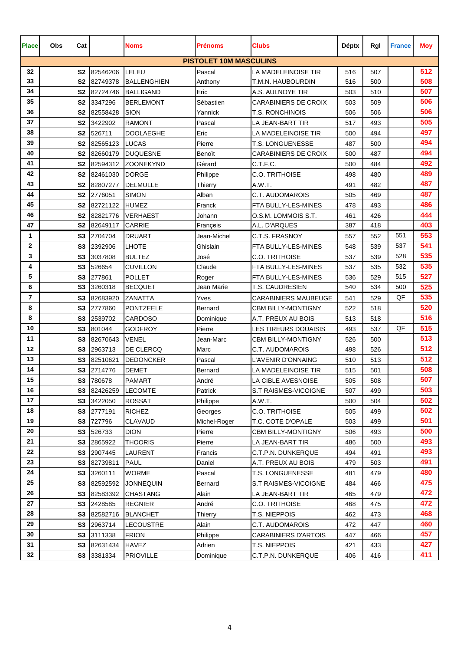| <b>Place</b> | Obs | Cat            |             | <b>Noms</b>        | <b>Prénoms</b>                | <b>Clubs</b>                | <b>Déptx</b> | Rgl | <b>France</b> | <b>Moy</b> |
|--------------|-----|----------------|-------------|--------------------|-------------------------------|-----------------------------|--------------|-----|---------------|------------|
|              |     |                |             |                    | <b>PISTOLET 10M MASCULINS</b> |                             |              |     |               |            |
| 32           |     | S <sub>2</sub> | 82546206    | LELEU              | Pascal                        | LA MADELEINOISE TIR         | 516          | 507 |               | 512        |
| 33           |     | S <sub>2</sub> | 82749378    | <b>BALLENGHIEN</b> | Anthony                       | T.M.N. HAUBOURDIN           | 516          | 500 |               | 508        |
| 34           |     |                | S2 82724746 | <b>BALLIGAND</b>   | Eric                          | A.S. AULNOYE TIR            | 503          | 510 |               | 507        |
| 35           |     | S <sub>2</sub> | 3347296     | <b>BERLEMONT</b>   | Sébastien                     | <b>CARABINIERS DE CROIX</b> | 503          | 509 |               | 506        |
| 36           |     | <b>S2</b>      | 82558428    | <b>SION</b>        | Yannick                       | <b>T.S. RONCHINOIS</b>      | 506          | 506 |               | 506        |
| 37           |     | S <sub>2</sub> | 3422902     | <b>RAMONT</b>      | Pascal                        | LA JEAN-BART TIR            | 517          | 493 |               | 505        |
| 38           |     | S <sub>2</sub> | 526711      | <b>DOOLAEGHE</b>   | Eric                          | LA MADELEINOISE TIR         | 500          | 494 |               | 497        |
| 39           |     | S <sub>2</sub> | 82565123    | <b>LUCAS</b>       | Pierre                        | T.S. LONGUENESSE            | 487          | 500 |               | 494        |
| 40           |     | <b>S2</b>      | 82660179    | <b>DUQUESNE</b>    | Benoït                        | <b>CARABINIERS DE CROIX</b> | 500          | 487 |               | 494        |
| 41           |     | S <sub>2</sub> | 82594312    | <b>ZOONEKYND</b>   | Gérard                        | C.T.F.C.                    | 500          | 484 |               | 492        |
| 42           |     | S <sub>2</sub> | 82461030    | <b>DORGE</b>       | Philippe                      | C.O. TRITHOISE              | 498          | 480 |               | 489        |
| 43           |     | S <sub>2</sub> | 82807277    | <b>DELMULLE</b>    | Thierry                       | A.W.T.                      | 491          | 482 |               | 487        |
| 44           |     | S <sub>2</sub> | 2776051     | <b>SIMON</b>       | Alban                         | C.T. AUDOMAROIS             | 505          | 469 |               | 487        |
| 45           |     | S <sub>2</sub> | 82721122    | <b>HUMEZ</b>       | Franck                        | FTA BULLY-LES-MINES         | 478          | 493 |               | 486        |
| 46           |     | S <sub>2</sub> | 82821776    | <b>VERHAEST</b>    | Johann                        | O.S.M. LOMMOIS S.T.         | 461          | 426 |               | 444        |
| 47           |     | S <sub>2</sub> | 82649117    | <b>CARRIE</b>      | Francois                      | A.L. D'ARQUES               | 387          | 418 |               | 403        |
| 1            |     | S <sub>3</sub> | 2704704     | <b>DRUART</b>      | Jean-Michel                   | C.T.S. FRASNOY              | 557          | 552 | 551           | 553        |
| 2            |     | S <sub>3</sub> | 2392906     | <b>LHOTE</b>       | Ghislain                      | FTA BULLY-LES-MINES         | 548          | 539 | 537           | 541        |
| 3            |     | S <sub>3</sub> | 3037808     | <b>BULTEZ</b>      | José                          | C.O. TRITHOISE              | 537          | 539 | 528           | 535        |
| 4            |     | S <sub>3</sub> | 526654      | <b>CUVILLON</b>    | Claude                        | FTA BULLY-LES-MINES         | 537          | 535 | 532           | 535        |
| 5            |     | S3             | 277861      | <b>POLLET</b>      | Roger                         | FTA BULLY-LES-MINES         | 536          | 529 | 515           | 527        |
| 6            |     | S <sub>3</sub> | 3260318     | <b>BECQUET</b>     | Jean Marie                    | <b>T.S. CAUDRESIEN</b>      | 540          | 534 | 500           | 525        |
| 7            |     | S <sub>3</sub> | 82683920    | ZANATTA            | Yves                          | <b>CARABINIERS MAUBEUGE</b> | 541          | 529 | QF            | 535        |
| 8            |     | S <sub>3</sub> | 2777860     | <b>PONTZEELE</b>   | Bernard                       | <b>CBM BILLY-MONTIGNY</b>   | 522          | 518 |               | 520        |
| 8            |     | S <sub>3</sub> | 2539702     | <b>CARDOSO</b>     | Dominique                     | A.T. PREUX AU BOIS          | 513          | 518 |               | 516        |
| 10           |     | S <sub>3</sub> | 801044      | <b>GODFROY</b>     | Pierre                        | LES TIREURS DOUAISIS        | 493          | 537 | QF            | 515        |
| 11           |     | S <sub>3</sub> | 82670643    | <b>VENEL</b>       | Jean-Marc                     | <b>CBM BILLY-MONTIGNY</b>   | 526          | 500 |               | 513        |
| 12           |     | S <sub>3</sub> | 2963713     | DE CLERCQ          | Marc                          | C.T. AUDOMAROIS             | 498          | 526 |               | 512        |
| 13           |     | S <sub>3</sub> | 82510621    | <b>DEDONCKER</b>   | Pascal                        | L'AVENIR D'ONNAING          | 510          | 513 |               | 512        |
| 14           |     |                | S3 2714776  | <b>DEMET</b>       | Bernard                       | LA MADELEINOISE TIR         | 515          | 501 |               | 508        |
| 15           |     |                | S3 780678   | <b>PAMART</b>      | André                         | LA CIBLE AVESNOISE          | 505          | 508 |               | 507        |
| 16           |     | S3             | 82426259    | <b>LECOMTE</b>     | Patrick                       | S.T RAISMES-VICOIGNE        | 507          | 499 |               | 503        |
| 17           |     | S <sub>3</sub> | 3422050     | <b>ROSSAT</b>      | Philippe                      | A.W.T.                      | 500          | 504 |               | 502        |
| 18           |     | S3             | 2777191     | <b>RICHEZ</b>      | Georges                       | <b>C.O. TRITHOISE</b>       | 505          | 499 |               | 502        |
| 19           |     | S3             | 727796      | CLAVAUD            | Michel-Roger                  | T.C. COTE D'OPALE           | 503          | 499 |               | 501        |
| 20           |     | S <sub>3</sub> | 526733      | <b>DION</b>        | Pierre                        | <b>CBM BILLY-MONTIGNY</b>   | 506          | 493 |               | 500        |
| 21           |     | S3             | 2865922     | <b>THOORIS</b>     | Pierre                        | LA JEAN-BART TIR            | 486          | 500 |               | 493        |
| 22           |     | S <sub>3</sub> | 2907445     | LAURENT            | Francis                       | C.T.P.N. DUNKERQUE          | 494          | 491 |               | 493        |
| 23           |     | S3             | 82739811    | <b>PAUL</b>        | Daniel                        | A.T. PREUX AU BOIS          | 479          | 503 |               | 491        |
| 24           |     | S3             | 3260111     | <b>WORME</b>       | Pascal                        | T.S. LONGUENESSE            | 481          | 479 |               | 480        |
| 25           |     | S3             | 82592592    | <b>JONNEQUIN</b>   | Bernard                       | S.T RAISMES-VICOIGNE        | 484          | 466 |               | 475        |
| 26           |     | S <sub>3</sub> | 82583392    | <b>CHASTANG</b>    | Alain                         | LA JEAN-BART TIR            | 465          | 479 |               | 472        |
| 27           |     | S3             | 2428585     | <b>REGNIER</b>     | André                         | <b>C.O. TRITHOISE</b>       | 468          | 475 |               | 472        |
| 28           |     | S3             | 82582716    | <b>BLANCHET</b>    | <b>Thierry</b>                | T.S. NIEPPOIS               | 462          | 473 |               | 468        |
| 29           |     | S3             | 2963714     | LECOUSTRE          | Alain                         | C.T. AUDOMAROIS             | 472          | 447 |               | 460        |
| 30           |     | S3             | 3111338     | <b>FRION</b>       | Philippe                      | <b>CARABINIERS D'ARTOIS</b> | 447          | 466 |               | 457        |
| 31           |     | S3             | 82631434    | <b>HAVEZ</b>       | Adrien                        | T.S. NIEPPOIS               | 421          | 433 |               | 427        |
| 32           |     |                | S3 3381334  | <b>PRIOVILLE</b>   | Dominique                     | C.T.P.N. DUNKERQUE          | 406          | 416 |               | 411        |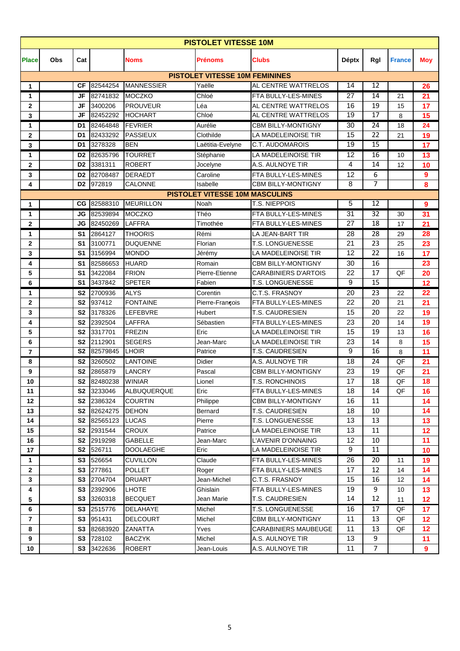|                |            |                |                           |                    | <b>PISTOLET VITESSE 10M</b>           |                             |                 |                 |               |                 |
|----------------|------------|----------------|---------------------------|--------------------|---------------------------------------|-----------------------------|-----------------|-----------------|---------------|-----------------|
| <b>Place</b>   | <b>Obs</b> | Cat            |                           | <b>Noms</b>        | <b>Prénoms</b>                        | <b>Clubs</b>                | <b>Déptx</b>    | Rgl             | <b>France</b> | <b>Moy</b>      |
|                |            |                |                           |                    | <b>PISTOLET VITESSE 10M FEMININES</b> |                             |                 |                 |               |                 |
| 1              |            | СF             | 82544254                  | <b>MANNESSIER</b>  | Yaëlle                                | AL CENTRE WATTRELOS         | 14              | 12              |               | 26              |
| 1              |            | JF             | 82741832                  | <b>MOCZKO</b>      | Chloé                                 | FTA BULLY-LES-MINES         | 27              | 14              | 21            | 21              |
| $\mathbf{2}$   |            | JF             | 3400206                   | <b>PROUVEUR</b>    | Léa                                   | AL CENTRE WATTRELOS         | 16              | 19              | 15            | 17              |
| 3              |            | JF             | 82452292                  | <b>HOCHART</b>     | Chloé                                 | AL CENTRE WATTRELOS         | $\overline{19}$ | 17              | 8             | 15              |
| 1              |            | D1             | 82464848                  | <b>FEVRIER</b>     | Aurélie                               | <b>CBM BILLY-MONTIGNY</b>   | 30              | 24              | 18            | 24              |
| $\mathbf{2}$   |            | D1             | 82433292                  | <b>PASSIEUX</b>    | Clothilde                             | LA MADELEINOISE TIR         | 15              | $\overline{22}$ | 21            | 19              |
| 3              |            | D1             | 3278328                   | <b>BEN</b>         | Laëtitia-Evelyne                      | C.T. AUDOMAROIS             | 19              | 15              |               | 17              |
| 1              |            | D <sub>2</sub> | 82635796                  | <b>TOURRET</b>     | Stéphanie                             | LA MADELEINOISE TIR         | 12              | 16              | 10            | 13              |
| $\mathbf{2}$   |            | D <sub>2</sub> | 3381311                   | <b>ROBERT</b>      | Jocelyne                              | A.S. AULNOYE TIR            | 4               | 14              | 12            | 10              |
| 3              |            | D <sub>2</sub> | 82708487                  | <b>DERAEDT</b>     | Caroline                              | FTA BULLY-LES-MINES         | 12              | 6               |               | 9               |
| 4              |            | D <sub>2</sub> | 972819                    | <b>CALONNE</b>     | Isabelle                              | <b>CBM BILLY-MONTIGNY</b>   | 8               | $\overline{7}$  |               | 8               |
|                |            |                |                           |                    | <b>PISTOLET VITESSE 10M MASCULINS</b> |                             |                 |                 |               |                 |
| 1              |            |                | CG 82588310               | <b>MEURILLON</b>   | Noah                                  | T.S. NIEPPOIS               | 5               | 12              |               | 9               |
| 1              |            |                | JG 82539894               | <b>MOCZKO</b>      | Théo                                  | FTA BULLY-LES-MINES         | 31              | $\overline{32}$ | 30            | 31              |
| $\mathbf{2}$   |            | JG             | 82450269                  | <b>LAFFRA</b>      | Timothée                              | FTA BULLY-LES-MINES         | 27              | 18              | 17            | 21              |
| 1              |            | S1             | 2864127                   | <b>THOORIS</b>     | Rémi                                  | LA JEAN-BART TIR            | 28              | 28              | 29            | 28              |
| $\mathbf{2}$   |            | S1             | 3100771                   | <b>DUQUENNE</b>    | Florian                               | T.S. LONGUENESSE            | 21              | 23              | 25            | 23              |
| 3              |            | S <sub>1</sub> | 3156994                   | <b>MONDO</b>       | Jérémy                                | LA MADELEINOISE TIR         | 12              | $\overline{22}$ | 16            | 17              |
| 4              |            | S1             | 82586653                  | <b>HUARD</b>       | Romain                                | <b>CBM BILLY-MONTIGNY</b>   | 30              | 16              |               | 23              |
| 5              |            | S1             | 3422084                   | <b>FRION</b>       | Pierre-Etienne                        | <b>CARABINIERS D'ARTOIS</b> | 22              | 17              | QF            | 20              |
| 6              |            | S <sub>1</sub> | 3437842                   | <b>SPETER</b>      | Fabien                                | T.S. LONGUENESSE            | 9               | 15              |               | 12              |
| 1              |            | S <sub>2</sub> | 2700936                   | <b>ALYS</b>        | Corentin                              | C.T.S. FRASNOY              | 20              | 23              | 22            | 22              |
| $\mathbf{2}$   |            | S <sub>2</sub> | 937412                    | <b>FONTAINE</b>    | Pierre-François                       | FTA BULLY-LES-MINES         | 22              | 20              | 21            | 21              |
| 3              |            | S <sub>2</sub> | 3178326                   | LEFEBVRE           | Hubert                                | T.S. CAUDRESIEN             | 15              | 20              | 22            | 19              |
| 4              |            | <b>S2</b>      | 2392504                   | <b>LAFFRA</b>      | Sébastien                             | FTA BULLY-LES-MINES         | 23              | 20              | 14            | 19              |
| 5              |            | <b>S2</b>      | 3317701                   | <b>FREZIN</b>      | Eric                                  | LA MADELEINOISE TIR         | 15              | 19              | 13            | 16              |
| 6              |            | S <sub>2</sub> | 2112901                   | <b>SEGERS</b>      | Jean-Marc                             | LA MADELEINOISE TIR         | 23              | 14              | 8             | 15              |
| $\overline{7}$ |            | S <sub>2</sub> | 82579845                  | LHOIR              | Patrice                               | T.S. CAUDRESIEN             | 9               | 16              | 8             | 11              |
| 8              |            | S <sub>2</sub> | 3260502                   | <b>LANTOINE</b>    | Didier                                | A.S. AULNOYE TIR            | 18              | 24              | QF            | 21              |
| 9              |            | S <sub>2</sub> | 2865879                   | <b>LANCRY</b>      | Pascal                                | <b>CBM BILLY-MONTIGNY</b>   | 23              | 19              | QF            | 21              |
| $10\,$         |            |                | <b>S2 82480238 WINIAR</b> |                    | Lionel                                | T.S. RONCHINOIS             | 17              | 18              | $\mathsf{QF}$ | 18              |
| 11             |            |                | S2 3233046                | <b>ALBUQUERQUE</b> | Eric                                  | FTA BULLY-LES-MINES         | 18              | 14              | QF            | 16              |
| 12             |            |                | S2 2386324                | <b>COURTIN</b>     | Philippe                              | CBM BILLY-MONTIGNY          | 16              | 11              |               | 14              |
| 13             |            |                | S2 82624275               | <b>DEHON</b>       | Bernard                               | T.S. CAUDRESIEN             | 18              | 10              |               | 14              |
| 14             |            |                | S2 82565123               | <b>LUCAS</b>       | Pierre                                | T.S. LONGUENESSE            | 13              | 13              |               | 13              |
| 15             |            |                | S2 2931544                | <b>CROUX</b>       | Patrice                               | LA MADELEINOISE TIR         | 13              | 11              |               | 12 <sub>2</sub> |
| 16             |            | S <sub>2</sub> | 2919298                   | <b>GABELLE</b>     | Jean-Marc                             | L'AVENIR D'ONNAING          | 12              | 10              |               | 11              |
| 17             |            |                | S2 526711                 | <b>DOOLAEGHE</b>   | Eric                                  | LA MADELEINOISE TIR         | $\overline{9}$  | 11              |               | 10              |
| 1              |            |                | S3 526654                 | <b>CUVILLON</b>    | Claude                                | FTA BULLY-LES-MINES         | 26              | 20              | 11            | 19              |
| $\mathbf{2}$   |            |                | S3 277861                 | <b>POLLET</b>      | Roger                                 | FTA BULLY-LES-MINES         | 17              | 12              | 14            | 14              |
| $\mathbf{3}$   |            |                | S3 2704704                | <b>DRUART</b>      | Jean-Michel                           | C.T.S. FRASNOY              | 15              | 16              | 12            | 14              |
| 4              |            | S3             | 2392906                   | <b>LHOTE</b>       | Ghislain                              | FTA BULLY-LES-MINES         | 19              | 9               | 10            | 13 <sup>°</sup> |
| 5              |            | S3             | 3260318                   | <b>BECQUET</b>     | Jean Marie                            | T.S. CAUDRESIEN             | 14              | 12              | 11            | 12 <sub>2</sub> |
| 6              |            | S <sub>3</sub> | 2515776                   | <b>DELAHAYE</b>    | Michel                                | T.S. LONGUENESSE            | 16              | 17              | QF            | 17              |
| $\overline{7}$ |            |                | S3 951431                 | <b>DELCOURT</b>    | Michel                                | <b>CBM BILLY-MONTIGNY</b>   | 11              | 13              | QF            | 12              |
| 8              |            |                | S3 82683920               | <b>ZANATTA</b>     | Yves                                  | <b>CARABINIERS MAUBEUGE</b> | 11              | 13              | QF            | 12 <sub>2</sub> |
| 9              |            |                | S3 728102                 | <b>BACZYK</b>      | Michel                                | A.S. AULNOYE TIR            | 13              | 9               |               | 11              |
| 10             |            |                | S3 3422636                | <b>ROBERT</b>      | Jean-Louis                            | A.S. AULNOYE TIR            | 11              | $\overline{7}$  |               | 9               |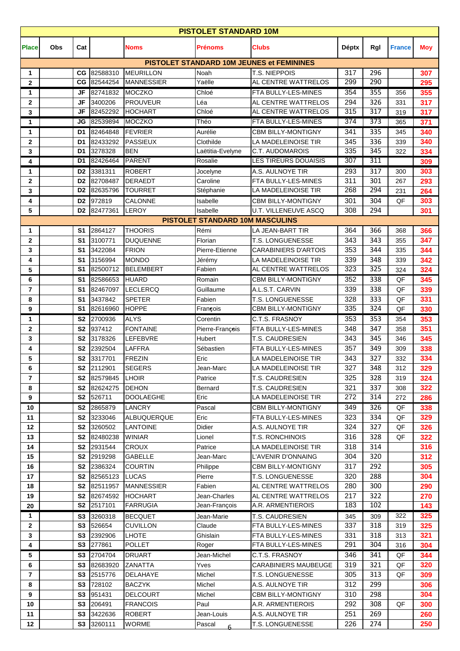| <b>PISTOLET STANDARD 10M</b> |     |                                  |                     |                                  |                                        |                                                  |              |            |               |            |
|------------------------------|-----|----------------------------------|---------------------|----------------------------------|----------------------------------------|--------------------------------------------------|--------------|------------|---------------|------------|
| <b>Place</b>                 | Obs | Cat                              |                     | <b>Noms</b>                      | <b>Prénoms</b>                         | <b>Clubs</b>                                     | <b>Déptx</b> | Rgl        | <b>France</b> | <b>Moy</b> |
|                              |     |                                  |                     |                                  |                                        | <b>PISTOLET STANDARD 10M JEUNES et FEMININES</b> |              |            |               |            |
| 1                            |     | CG                               | 82588310            | <b>MEURILLON</b>                 | Noah                                   | T.S. NIEPPOIS                                    | 317          | 296        |               | 307        |
| $\mathbf{2}$                 |     | CG                               | 82544254            | <b>MANNESSIER</b>                | Yaëlle                                 | AL CENTRE WATTRELOS                              | 299          | 290        |               | 295        |
| 1                            |     | JF                               | 82741832            | <b>MOCZKO</b>                    | Chloé                                  | FTA BULLY-LES-MINES                              | 354          | 355        | 356           | 355        |
| $\mathbf{2}$                 |     | <b>JF</b>                        | 3400206             | <b>PROUVEUR</b>                  | Léa                                    | AL CENTRE WATTRELOS                              | 294<br>315   | 326<br>317 | 331           | 317        |
| 3                            |     | JF                               | 82452292            | <b>HOCHART</b>                   | Chloé                                  | AL CENTRE WATTRELOS                              | 374          | 373        | 319           | 317        |
| 1                            |     | JG                               | 82539894            | MOCZKO                           | Théo                                   | FTA BULLY-LES-MINES                              |              |            | 365           | 371        |
| 1                            |     | D <sub>1</sub>                   | 82464848            | <b>FEVRIER</b>                   | Aurélie                                | <b>CBM BILLY-MONTIGNY</b>                        | 341          | 335        | 345           | 340        |
| $\mathbf 2$                  |     | D <sub>1</sub>                   | 82433292            | <b>PASSIEUX</b>                  | Clothilde                              | LA MADELEINOISE TIR                              | 345<br>335   | 336<br>345 | 339           | 340        |
| 3                            |     | D <sub>1</sub><br>D1             | 3278328<br>82426464 | <b>BEN</b><br><b>PARENT</b>      | Laëtitia-Evelyne                       | C.T. AUDOMAROIS<br><b>LES TIREURS DOUAISIS</b>   | 307          | 311        | 322           | 334        |
| 4                            |     |                                  |                     |                                  | Rosalie                                |                                                  |              |            |               | 309        |
| 1                            |     | D <sub>2</sub>                   | 3381311             | <b>ROBERT</b>                    | Jocelyne                               | A.S. AULNOYE TIR                                 | 293          | 317        | 300           | 303        |
| $\mathbf 2$                  |     | D <sub>2</sub><br>D <sub>2</sub> | 82708487            | <b>DERAEDT</b>                   | Caroline                               | FTA BULLY-LES-MINES<br>LA MADELEINOISE TIR       | 311<br>268   | 301<br>294 | 267           | 293        |
| 3                            |     |                                  | 82635796            | <b>TOURRET</b>                   | Stéphanie<br>Isabelle                  |                                                  |              |            | 231           | 264        |
| 4                            |     | D <sub>2</sub>                   | 972819              | CALONNE                          |                                        | <b>CBM BILLY-MONTIGNY</b>                        | 301          | 304        | QF            | 303        |
| 5                            |     | D <sub>2</sub>                   | 82477361            | <b>LEROY</b>                     | Isabelle                               | U.T. VILLENEUVE ASCQ                             | 308          | 294        |               | 301        |
|                              |     |                                  |                     |                                  | <b>PISTOLET STANDARD 10M MASCULINS</b> |                                                  |              |            |               |            |
| 1                            |     | S <sub>1</sub>                   | 2864127             | <b>THOORIS</b>                   | Rémi                                   | LA JEAN-BART TIR                                 | 364          | 366        | 368           | 366        |
| $\mathbf 2$                  |     | S <sub>1</sub>                   | 3100771             | <b>DUQUENNE</b>                  | Florian                                | T.S. LONGUENESSE                                 | 343          | 343        | 355           | 347        |
| 3                            |     | S <sub>1</sub>                   | 3422084             | <b>FRION</b>                     | Pierre-Etienne                         | <b>CARABINIERS D'ARTOIS</b>                      | 353          | 344        | 335           | 344        |
| 4                            |     | S <sub>1</sub><br>S <sub>1</sub> | 3156994             | <b>MONDO</b><br><b>BELEMBERT</b> | Jérémy<br>Fabien                       | LA MADELEINOISE TIR<br>AL CENTRE WATTRELOS       | 339<br>323   | 348<br>325 | 339           | 342        |
| 5                            |     |                                  | 82500712            |                                  |                                        |                                                  |              |            | 324           | 324        |
| 6                            |     | S <sub>1</sub>                   | 82586653            | <b>HUARD</b>                     | Romain                                 | <b>CBM BILLY-MONTIGNY</b>                        | 352          | 338        | QF            | 345        |
| $\overline{7}$               |     | S <sub>1</sub><br>S <sub>1</sub> | 82467097            | <b>LECLERCQ</b>                  | Guillaume<br>Fabien                    | A.L.S.T. CARVIN                                  | 339<br>328   | 338<br>333 | QF            | 339        |
| 8                            |     | S <sub>1</sub>                   | 3437842<br>82616960 | <b>SPETER</b><br><b>HOPPE</b>    | François                               | T.S. LONGUENESSE<br>CBM BILLY-MONTIGNY           | 335          | 324        | QF<br>QF      | 331        |
| 9                            |     |                                  |                     | <b>ALYS</b>                      |                                        |                                                  |              | 353        |               | 330        |
| 1<br>$\mathbf{2}$            |     | S <sub>2</sub><br>S <sub>2</sub> | 2700936<br>937412   | <b>FONTAINE</b>                  | Corentin                               | C.T.S. FRASNOY<br>FTA BULLY-LES-MINES            | 353<br>348   | 347        | 354<br>358    | 353        |
| 3                            |     | <b>S2</b>                        | 3178326             | LEFEBVRE                         | Pierre-François<br>Hubert              | T.S. CAUDRESIEN                                  | 343          | 345        | 346           | 351<br>345 |
| 4                            |     | S <sub>2</sub>                   | 2392504             | <b>LAFFRA</b>                    | Sébastien                              | FTA BULLY-LES-MINES                              | 357          | 349        | 309           | 338        |
| 5                            |     | S <sub>2</sub>                   | 3317701             | <b>FREZIN</b>                    | Eric                                   | LA MADELEINOISE TIR                              | 343          | 327        | 332           | 334        |
| 6                            |     |                                  | S2 2112901          | <b>SEGERS</b>                    | Jean-Marc                              | LA MADELEINOISE TIR                              | 327          | 348        | 312           | 329        |
| 7                            |     |                                  | S2 82579845         | <b>LHOIR</b>                     | Patrice                                | T.S. CAUDRESIEN                                  | 325          | 328        | 319           | 324        |
| 8                            |     | S <sub>2</sub>                   | 82624275            | <b>DEHON</b>                     | Bernard                                | T.S. CAUDRESIEN                                  | 321          | 337        | 308           | 322        |
| 9                            |     |                                  | S2 526711           | <b>DOOLAEGHE</b>                 | Eric                                   | LA MADELEINOISE TIR                              | 272          | 314        | 272           | 286        |
| 10                           |     | S2                               | 2865879             | LANCRY                           | Pascal                                 | <b>CBM BILLY-MONTIGNY</b>                        | 349          | 326        | QF            | 338        |
| 11                           |     | S <sub>2</sub>                   | 3233046             | ALBUQUERQUE                      | Eric                                   | FTA BULLY-LES-MINES                              | 323          | 334        | QF            | 329        |
| 12                           |     | S <sub>2</sub>                   | 3260502             | LANTOINE                         | Didier                                 | A.S. AULNOYE TIR                                 | 324          | 327        | QF            | 326        |
| 13                           |     | S <sub>2</sub>                   | 82480238            | <b>WINIAR</b>                    | Lionel                                 | T.S. RONCHINOIS                                  | 316          | 328        | QF            | 322        |
| 14                           |     | S <sub>2</sub>                   | 2931544             | <b>CROUX</b>                     | Patrice                                | LA MADELEINOISE TIR                              | 318          | 314        |               | 316        |
| 15                           |     | S <sub>2</sub>                   | 2919298             | <b>GABELLE</b>                   | Jean-Marc                              | L'AVENIR D'ONNAING                               | 304          | 320        |               | 312        |
| 16                           |     | S <sub>2</sub>                   | 2386324             | <b>COURTIN</b>                   | Philippe                               | <b>CBM BILLY-MONTIGNY</b>                        | 317          | 292        |               | 305        |
| 17                           |     |                                  | S2 82565123         | <b>LUCAS</b>                     | Pierre                                 | T.S. LONGUENESSE                                 | 320          | 288        |               | 304        |
| 18                           |     |                                  | S2 82511957         | <b>MANNESSIER</b>                | Fabien                                 | AL CENTRE WATTRELOS                              | 280          | 300        |               | 290        |
| 19                           |     | S <sub>2</sub>                   | 82674592            | <b>HOCHART</b>                   | Jean-Charles                           | AL CENTRE WATTRELOS                              | 217          | 322        |               | 270        |
| 20                           |     |                                  | S2 2517101          | <b>FARRUGIA</b>                  | Jean-François                          | A.R. ARMENTIEROIS                                | 183          | 102        |               | 143        |
| 1                            |     | S <sub>3</sub>                   | 3260318             | <b>BECQUET</b>                   | Jean-Marie                             | T.S. CAUDRESIEN                                  | 345          | 309        | 322           | 325        |
| $\mathbf{2}$                 |     | S3                               | 526654              | <b>CUVILLON</b>                  | Claude                                 | FTA BULLY-LES-MINES                              | 337          | 318        | 319           | 325        |
| 3                            |     | S <sub>3</sub>                   | 2392906             | <b>LHOTE</b>                     | Ghislain                               | FTA BULLY-LES-MINES                              | 331          | 318        | 313           | 321        |
| 4                            |     | S3                               | 277861              | <b>POLLET</b>                    | Roger                                  | FTA BULLY-LES-MINES                              | 291          | 304        | 316           | 304        |
| 5                            |     | S3                               | 2704704             | <b>DRUART</b>                    | Jean-Michel                            | C.T.S. FRASNOY                                   | 346          | 341        | QF            | 344        |
| 6                            |     | S3                               | 82683920            | <b>ZANATTA</b>                   | Yves                                   | <b>CARABINIERS MAUBEUGE</b>                      | 319          | 321        | QF            | 320        |
| $\overline{\mathbf{r}}$      |     | S <sub>3</sub>                   | 2515776             | DELAHAYE                         | Michel                                 | T.S. LONGUENESSE                                 | 305          | 313        | QF            | 309        |
| 8                            |     | S <sub>3</sub>                   | 728102              | <b>BACZYK</b>                    | Michel                                 | A.S. AULNOYE TIR                                 | 312          | 299        |               | 306        |
| 9                            |     | S <sub>3</sub>                   | 951431              | <b>DELCOURT</b>                  | Michel                                 | CBM BILLY-MONTIGNY                               | 310          | 298        |               | 304        |
| 10                           |     | S <sub>3</sub>                   | 206491              | <b>FRANCOIS</b>                  | Paul                                   | A.R. ARMENTIEROIS                                | 292          | 308        | QF            | 300        |
| 11                           |     | S <sub>3</sub>                   | 3422636             | <b>ROBERT</b>                    | Jean-Louis                             | A.S. AULNOYE TIR                                 | 251          | 269        |               | 260        |
| 12                           |     |                                  | S3 3260111          | <b>WORME</b>                     | Pascal                                 | T.S. LONGUENESSE                                 | 226          | 274        |               | 250        |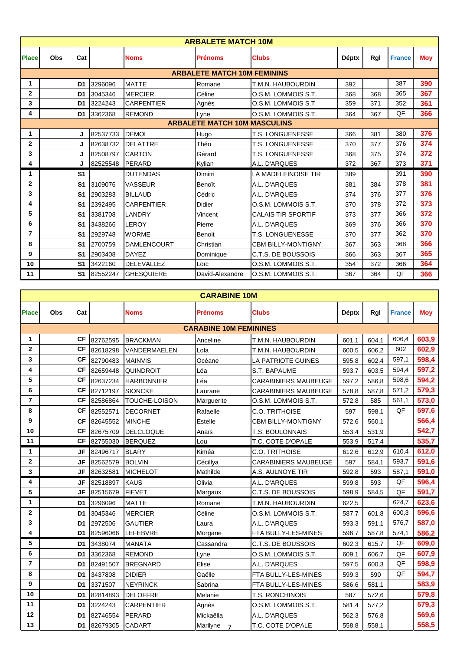|              | <b>ARBALETE MATCH 10M</b> |                |          |                    |                                     |                           |              |     |               |     |  |  |  |
|--------------|---------------------------|----------------|----------|--------------------|-------------------------------------|---------------------------|--------------|-----|---------------|-----|--|--|--|
| <b>Place</b> | Obs                       | Cat            |          | <b>Noms</b>        | <b>Prénoms</b>                      | <b>Clubs</b>              | <b>Déptx</b> | Rgl | <b>France</b> | Moy |  |  |  |
|              |                           |                |          |                    | <b>ARBALETE MATCH 10M FEMININS</b>  |                           |              |     |               |     |  |  |  |
| 1            |                           | D <sub>1</sub> | 3296096  | <b>MATTE</b>       | Romane                              | T.M.N. HAUBOURDIN         | 392          |     | 387           | 390 |  |  |  |
| $\mathbf{2}$ |                           | D <sub>1</sub> | 3045346  | <b>MERCIER</b>     | Céline                              | O.S.M. LOMMOIS S.T.       | 368          | 368 | 365           | 367 |  |  |  |
| 3            |                           | D <sub>1</sub> | 3224243  | <b>CARPENTIER</b>  | Agnès                               | O.S.M. LOMMOIS S.T.       | 359          | 371 | 352           | 361 |  |  |  |
| 4            |                           | D <sub>1</sub> | 3362368  | <b>REMOND</b>      | Lyne                                | O.S.M. LOMMOIS S.T.       | 364          | 367 | QF            | 366 |  |  |  |
|              |                           |                |          |                    | <b>ARBALETE MATCH 10M MASCULINS</b> |                           |              |     |               |     |  |  |  |
| 1            |                           | J              | 82537733 | <b>DEMOL</b>       | Hugo                                | <b>T.S. LONGUENESSE</b>   | 366          | 381 | 380           | 376 |  |  |  |
| $\mathbf{2}$ |                           | J              | 82638732 | <b>DELATTRE</b>    | Théo                                | <b>T.S. LONGUENESSE</b>   | 370          | 377 | 376           | 374 |  |  |  |
| 3            |                           | J              | 82508797 | <b>CARTON</b>      | Gérard                              | <b>T.S. LONGUENESSE</b>   | 368          | 375 | 374           | 372 |  |  |  |
| 4            |                           | J              | 82525548 | PERARD             | Kylian                              | A.L. D'ARQUES             | 372          | 367 | 373           | 371 |  |  |  |
| 1            |                           | S <sub>1</sub> |          | <b>DUTENDAS</b>    | Dimitri                             | LA MADELEINOISE TIR       | 389          |     | 391           | 390 |  |  |  |
| $\mathbf{2}$ |                           | S <sub>1</sub> | 3109076  | <b>VASSEUR</b>     | Benoït                              | A.L. D'ARQUES             | 381          | 384 | 378           | 381 |  |  |  |
| 3            |                           | S1             | 2903283  | <b>BILLAUD</b>     | Cédric                              | A.L. D'ARQUES             | 374          | 376 | 377           | 376 |  |  |  |
| 4            |                           | S <sub>1</sub> | 2392495  | <b>CARPENTIER</b>  | Didier                              | O.S.M. LOMMOIS S.T.       | 370          | 378 | 372           | 373 |  |  |  |
| 5            |                           | S <sub>1</sub> | 3381708  | LANDRY             | Vincent                             | <b>CALAIS TIR SPORTIF</b> | 373          | 377 | 366           | 372 |  |  |  |
| 6            |                           | S <sub>1</sub> | 3438266  | LEROY              | Pierre                              | A.L. D'ARQUES             | 369          | 376 | 366           | 370 |  |  |  |
| 7            |                           | S <sub>1</sub> | 2929748  | <b>WORME</b>       | Benoit                              | <b>T.S. LONGUENESSE</b>   | 370          | 377 | 362           | 370 |  |  |  |
| 8            |                           | S <sub>1</sub> | 2700759  | <b>DAMLENCOURT</b> | Christian                           | <b>CBM BILLY-MONTIGNY</b> | 367          | 363 | 368           | 366 |  |  |  |
| 9            |                           | S <sub>1</sub> | 2903408  | <b>DAYEZ</b>       | Dominique                           | C.T.S. DE BOUSSOIS        | 366          | 363 | 367           | 365 |  |  |  |
| 10           |                           | S <sub>1</sub> | 3422160  | <b>DELEVALLEZ</b>  | Loïc                                | O.S.M. LOMMOIS S.T.       | 354          | 372 | 366           | 364 |  |  |  |
| 11           |                           | S <sub>1</sub> | 82552247 | <b>GHESQUIERE</b>  | David-Alexandre                     | O.S.M. LOMMOIS S.T.       | 367          | 364 | QF            | 366 |  |  |  |

| <b>CARABINE 10M</b> |            |                |          |                      |                               |                             |              |       |               |            |
|---------------------|------------|----------------|----------|----------------------|-------------------------------|-----------------------------|--------------|-------|---------------|------------|
| <b>Place</b>        | <b>Obs</b> | Cat            |          | <b>Noms</b>          | Prénoms                       | <b>Clubs</b>                | <b>Déptx</b> | Rgl   | <b>France</b> | <b>Mov</b> |
|                     |            |                |          |                      | <b>CARABINE 10M FEMININES</b> |                             |              |       |               |            |
| 1                   |            | <b>CF</b>      | 82762595 | <b>BRACKMAN</b>      | Anceline                      | T.M.N. HAUBOURDIN           | 601.1        | 604,1 | 606,4         | 603,9      |
| $\mathbf 2$         |            | <b>CF</b>      | 82618298 | VANDERMAELEN         | Lola                          | T.M.N. HAUBOURDIN           | 600,5        | 606,2 | 602           | 602,9      |
| 3                   |            | <b>CF</b>      | 82790483 | <b>MAINVIS</b>       | Océane                        | LA PATRIOTE GUINES          | 595,8        | 602,4 | 597,1         | 598,4      |
| 4                   |            | <b>CF</b>      | 82659448 | <b>QUINDROIT</b>     | Léa                           | S.T. BAPAUME                | 593,7        | 603,5 | 594,4         | 597,2      |
| 5                   |            | <b>CF</b>      | 82637234 | <b>HARBONNIER</b>    | Léa                           | <b>CARABINIERS MAUBEUGE</b> | 597,2        | 586,8 | 598,6         | 594,2      |
| 6                   |            | <b>CF</b>      | 82712197 | <b>SIONCKE</b>       | Laurane                       | <b>CARABINIERS MAUBEUGE</b> | 578,8        | 587,8 | 571,2         | 579,3      |
| $\overline{7}$      |            | <b>CF</b>      | 82586864 | <b>TOUCHE-LOISON</b> | Marguerite                    | O.S.M. LOMMOIS S.T.         | 572,8        | 585   | 561,1         | 573,0      |
| 8                   |            | <b>CF</b>      | 82552571 | <b>DECORNET</b>      | Rafaelle                      | <b>C.O. TRITHOISE</b>       | 597          | 598,1 | QF            | 597,6      |
| 9                   |            | <b>CF</b>      | 82645552 | <b>MINCHE</b>        | <b>Estelle</b>                | <b>CBM BILLY-MONTIGNY</b>   | 572,6        | 560,1 |               | 566,4      |
| 10                  |            | <b>CF</b>      | 82675709 | <b>DELCLOQUE</b>     | Anaïs                         | T.S. BOULONNAIS             | 553,4        | 531,9 |               | 542,7      |
| 11                  |            | <b>CF</b>      | 82755030 | <b>BERQUEZ</b>       | Lou                           | T.C. COTE D'OPALE           | 553,9        | 517,4 |               | 535,7      |
| 1                   |            | <b>JF</b>      | 82496717 | <b>BLARY</b>         | Kiméa                         | <b>C.O. TRITHOISE</b>       | 612,6        | 612,9 | 610,4         | 612,0      |
| $\mathbf{2}$        |            | <b>JF</b>      | 82562579 | <b>BOLVIN</b>        | Cécillya                      | <b>CARABINIERS MAUBEUGE</b> | 597          | 584,1 | 593,7         | 591,6      |
| 3                   |            | JF             | 82632581 | <b>MICHELOT</b>      | Mathilde                      | A.S. AULNOYE TIR            | 592,8        | 593   | 587,1         | 591,0      |
| 4                   |            | JF             | 82518897 | <b>KAUS</b>          | Olivia                        | A.L. D'ARQUES               | 599,8        | 593   | QF            | 596,4      |
| 5                   |            | JF             | 82515679 | <b>FIEVET</b>        | Margaux                       | C.T.S. DE BOUSSOIS          | 598,9        | 584,5 | QF            | 591,7      |
| 1                   |            | D <sub>1</sub> | 3296096  | <b>MATTE</b>         | Romane                        | T.M.N. HAUBOURDIN           | 622,5        |       | 624,7         | 623,6      |
| $\mathbf{2}$        |            | D <sub>1</sub> | 3045346  | <b>MERCIER</b>       | Céline                        | O.S.M. LOMMOIS S.T.         | 587,7        | 601,8 | 600,3         | 596,6      |
| 3                   |            | D <sub>1</sub> | 2972506  | <b>GAUTIER</b>       | Laura                         | A.L. D'ARQUES               | 593,3        | 591,1 | 576,7         | 587,0      |
| 4                   |            | D <sub>1</sub> | 82596066 | LEFEBVRE             | Morgane                       | FTA BULLY-LES-MINES         | 596,7        | 587,8 | 574,1         | 586,2      |
| 5                   |            | D <sub>1</sub> | 3438074  | <b>MANATA</b>        | Cassandra                     | C.T.S. DE BOUSSOIS          | 602,3        | 615,7 | QF            | 609,0      |
| 6                   |            | D <sub>1</sub> | 3362368  | <b>REMOND</b>        | Lyne                          | O.S.M. LOMMOIS S.T.         | 609,1        | 606,7 | QF            | 607,9      |
| $\overline{7}$      |            | D <sub>1</sub> | 82491507 | <b>BREGNARD</b>      | Elise                         | A.L. D'ARQUES               | 597,5        | 600,3 | QF            | 598,9      |
| 8                   |            | D <sub>1</sub> | 3437808  | <b>DIDIER</b>        | Gaëlle                        | FTA BULLY-LES-MINES         | 599,3        | 590   | QF            | 594,7      |
| 9                   |            | D <sub>1</sub> | 3371507  | <b>NEYRINCK</b>      | Sabrina                       | FTA BULLY-LES-MINES         | 586,6        | 581,1 |               | 583,9      |
| 10                  |            | D <sub>1</sub> | 82814893 | <b>DELOFFRE</b>      | Melanie                       | T.S. RONCHINOIS             | 587          | 572,6 |               | 579,8      |
| 11                  |            | D <sub>1</sub> | 3224243  | <b>CARPENTIER</b>    | Agnès                         | O.S.M. LOMMOIS S.T.         | 581,4        | 577,2 |               | 579,3      |
| 12                  |            | D <sub>1</sub> | 82746554 | PERARD               | Mickaëlla                     | A.L. D'ARQUES               | 562,3        | 576,8 |               | 569,6      |
| 13                  |            | D <sub>1</sub> | 82679305 | <b>CADART</b>        | Marilyne<br>$\overline{7}$    | T.C. COTE D'OPALE           | 558,8        | 558,1 |               | 558,5      |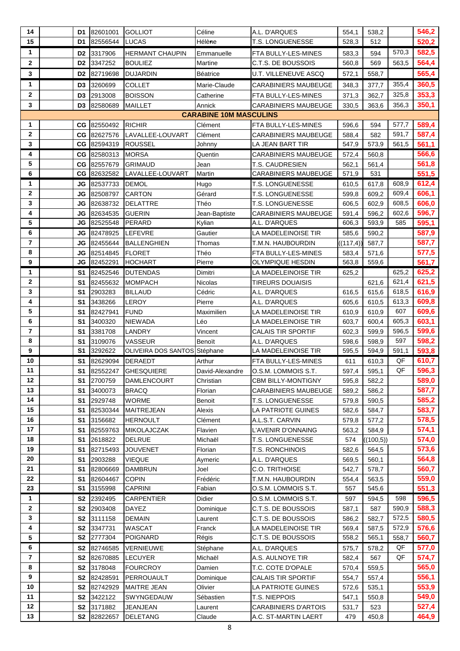| 14             | D1              | 82601001             | <b>GOLLIOT</b>               | Céline                                  | A.L. D'ARQUES                                | 554,1          | 538,2          |       | 546,2          |
|----------------|-----------------|----------------------|------------------------------|-----------------------------------------|----------------------------------------------|----------------|----------------|-------|----------------|
| 15             | D1              | 82556544             | LUCAS                        | Hélène                                  | <b>T.S. LONGUENESSE</b>                      | 528,3          | 512            |       | 520,2          |
| 1              | D <sub>2</sub>  | 3317906              | HERMANT CHAUPIN              | Emmanuelle                              | FTA BULLY-LES-MINES                          | 583,3          | 594            | 570,3 | 582,5          |
| $\mathbf{2}$   | D <sub>2</sub>  | 3347252              | BOULIEZ                      | Martine                                 | C.T.S. DE BOUSSOIS                           | 560,8          | 569            | 563,5 | 564,4          |
| 3              | D <sub>2</sub>  | 82719698             | <b>DUJARDIN</b>              | <b>Béatrice</b>                         | <b>U.T. VILLENEUVE ASCQ</b>                  | 572,1          | 558,7          |       | 565,4          |
| 1              | D <sub>3</sub>  | 3260699              | COLLET                       | Marie-Claude                            | <b>CARABINIERS MAUBEUGE</b>                  | 348,3          | 377,7          | 355,4 | 360,5          |
| $\mathbf{2}$   | D <sub>3</sub>  | 2913008              |                              |                                         |                                              |                |                | 325,8 | 353,3          |
| 3              |                 |                      | <b>BOISSON</b>               | Catherine                               | FTA BULLY-LES-MINES                          | 371,3          | 362,7          | 356,3 | 350,1          |
|                | D <sub>3</sub>  | 82580689             | <b>MAILLET</b>               | Annick<br><b>CARABINE 10M MASCULINS</b> | <b>CARABINIERS MAUBEUGE</b>                  | 330,5          | 363,6          |       |                |
| 1              | CG              | 82550492             | <b>RICHIR</b>                | Clément                                 | FTA BULLY-LES-MINES                          | 596,6          |                | 577,7 | 589,4          |
| $\mathbf{2}$   | CG              | 82627576             | LAVALLEE-LOUVART             |                                         |                                              |                | 594<br>582     | 591,7 | 587,4          |
| 3              | CG              | 82594319             | <b>ROUSSEL</b>               | Clément<br>Johnny                       | CARABINIERS MAUBEUGE<br>LA JEAN BART TIR     | 588,4<br>547,9 | 573,9          | 561,5 | 561,1          |
| 4              | СG              | 82580313             | <b>MORSA</b>                 | Quentin                                 | <b>CARABINIERS MAUBEUGE</b>                  | 572,4          | 560,8          |       | 566,6          |
| 5              |                 | CG 82557679          | <b>GRIMAUD</b>               | Jean                                    | <b>T.S. CAUDRESIEN</b>                       | 562,1          | 561,4          |       | 561,8          |
| 6              | CG              | 82632582             | LAVALLEE-LOUVART             | Martin                                  | CARABINIERS MAUBEUGE                         | 571,9          | 531            |       | 551,5          |
| 1              | JG              | 82537733             | <b>DEMOL</b>                 |                                         | T.S. LONGUENESSE                             |                |                | 608,9 | 612,4          |
| $\mathbf{2}$   | JG              | 82508797             | CARTON                       | Hugo<br>Gérard                          | <b>T.S. LONGUENESSE</b>                      | 610,5<br>599,8 | 617,8<br>609,2 | 609,4 | 606,1          |
| 3              | JG              | 82638732             | <b>DELATTRE</b>              | Théo                                    | T.S. LONGUENESSE                             |                |                | 608,5 | 606,0          |
| 4              |                 |                      |                              |                                         |                                              | 606,5          | 602,9          | 602,6 |                |
| 5              | JG<br><b>JG</b> | 82634535<br>82525548 | <b>GUERIN</b><br>PERARD      | Jean-Baptiste<br>Kylian                 | <b>CARABINIERS MAUBEUGE</b><br>A.L. D'ARQUES | 591,4<br>606,3 | 596,2<br>593,9 | 585   | 596,7<br>595,1 |
|                |                 |                      |                              |                                         |                                              |                |                |       |                |
| 6              | JG              | 82478925             | LEFEVRE                      | Gautier                                 | LA MADELEINOISE TIR                          | 585,6          | 590,2          |       | 587,9          |
| $\overline{7}$ | JG              | 82455644             | BALLENGHIEN                  | Thomas                                  | T.M.N. HAUBOURDIN                            | ((117, 4))     | 587,7          |       | 587,7          |
| 8              | JG              | 82514845             | <b>FLORET</b>                | Théo                                    | FTA BULLY-LES-MINES                          | 583,4          | 571,6          |       | 577,5          |
| 9              | JG              | 82452291             | <b>HOCHART</b>               | Pierre                                  | <b>OLYMPIQUE HESDIN</b>                      | 563,8          | 559,6          |       | 561,7          |
| 1              | S1              | 82452546             | <b>DUTENDAS</b>              | Dimitri                                 | LA MADELEINOISE TIR                          | 625,2          |                | 625,2 | 625,2          |
| $\mathbf{2}$   | S <sub>1</sub>  | 82455632             | <b>MOMPACH</b>               | Nicolas                                 | <b>TIREURS DOUAISIS</b>                      |                | 621,6          | 621,4 | 621,5          |
| 3              | S1              | 2903283              | <b>BILLAUD</b>               | Cédric                                  | A.L. D'ARQUES                                | 616,5          | 615,6          | 618,5 | 616,9          |
| 4              | S <sub>1</sub>  | 3438266              | LEROY                        | Pierre                                  | A.L. D'ARQUES                                | 605,6          | 610,5          | 613,3 | 609,8          |
| 5              | S <sub>1</sub>  | 82427941             | <b>FUND</b>                  | Maximilien                              | LA MADELEINOISE TIR                          | 610,9          | 610,9          | 607   | 609,6          |
| 6              | S1              | 3400320              | NIEWADA                      | Léo                                     | LA MADELEINOISE TIR                          | 603,7          | 600,4          | 605,3 | 603,1          |
| 7              | S <sub>1</sub>  | 3381708              | <b>LANDRY</b>                | Vincent                                 | CALAIS TIR SPORTIF                           | 602,3          | 599,9          | 596,5 | 599,6          |
| 8              | S <sub>1</sub>  | 3109076              | VASSEUR                      | Benoït                                  | A.L. D'ARQUES                                | 598,6          | 598,9          | 597   | 598,2          |
| 9              | S <sub>1</sub>  | 3292622              | OLIVEIRA DOS SANTOS Stéphane |                                         | LA MADELEINOISE TIR                          | 595,5          | 594,9          | 591,1 | 593,8          |
| 10             | S1              | 82629094             | <b>DERAEDT</b>               | Arthur                                  | FTA BULLY-LES-MINES                          | 611            | 610,3          | QF    | 610,7          |
| 11             | S <sub>1</sub>  | 82552247             | <b>GHESQUIERE</b>            | David-Alexandre                         | O.S.M. LOMMOIS S.T.                          | 597,4          | 595,1          | QF    | 596,3          |
| 12             | S1              | 2700759              | <b>DAMLENCOURT</b>           | Christian                               | <b>CBM BILLY-MONTIGNY</b>                    | 595,8          | 582,2          |       | 589,0          |
| 13             | S <sub>1</sub>  | 3400073              | <b>BRACQ</b>                 | Florian                                 | <b>CARABINIERS MAUBEUGE</b>                  | 589,2          | 586,2          |       | 587,7          |
| 14             | S <sub>1</sub>  | 2929748              | WORME                        | Benoit                                  | T.S. LONGUENESSE                             | 579,8          | 590,5          |       | 585,2          |
| 15             | S <sub>1</sub>  | 82530344             | MAITREJEAN                   | Alexis                                  | LA PATRIOTE GUINES                           | 582,6          | 584,7          |       | 583,7          |
| 16             | S <sub>1</sub>  | 3156682              | <b>HERNOULT</b>              | Clément                                 | A.L.S.T. CARVIN                              | 579,8          | 577,2          |       | 578,5          |
| 17             | S <sub>1</sub>  | 82559763             | <b>MIKOLAJCZAK</b>           | Flavien                                 | L'AVENIR D'ONNAING                           | 563,2          | 584,9          |       | 574,1          |
| 18             | S <sub>1</sub>  | 2618822              | <b>DELRUE</b>                | Michaël                                 | T.S. LONGUENESSE                             | 574            | ((100,5))      |       | 574,0          |
| 19             | S <sub>1</sub>  | 82715493             | <b>JOUVENET</b>              | Florian                                 | T.S. RONCHINOIS                              | 582,6          | 564,5          |       | 573,6          |
| 20             | S <sub>1</sub>  | 2903288              | <b>VIEQUE</b>                | Aymeric                                 | A.L. D'ARQUES                                | 569,5          | 560,1          |       | 564,8          |
| 21             | S <sub>1</sub>  | 82806669             | <b>DAMBRUN</b>               | Joel                                    | C.O. TRITHOISE                               | 542,7          | 578,7          |       | 560,7          |
| 22             | S1              | 82604467             | <b>COPIN</b>                 | Frédéric                                | T.M.N. HAUBOURDIN                            | 554,4          | 563,5          |       | 559,0          |
| 23             | S <sub>1</sub>  | 3155998              | <b>CAPRINI</b>               | Fabian                                  | O.S.M. LOMMOIS S.T.                          | 557            | 545,6          |       | 551,3          |
| 1              | S2              | 2392495              | <b>CARPENTIER</b>            | Didier                                  | O.S.M. LOMMOIS S.T.                          | 597            | 594,5          | 598   | 596,5          |
| $\mathbf{2}$   | S <sub>2</sub>  | 2903408              | DAYEZ                        | Dominique                               | C.T.S. DE BOUSSOIS                           | 587,1          | 587            | 590,9 | 588,3          |
| $\mathbf{3}$   | S <sub>2</sub>  | 3111158              | <b>DEMAIN</b>                | Laurent                                 | C.T.S. DE BOUSSOIS                           | 586,2          | 582,7          | 572,5 | 580,5          |
| 4              | S <sub>2</sub>  | 3347731              | WASCAT                       | Franck                                  | LA MADELEINOISE TIR                          | 569,4          | 587,5          | 572,9 | 576,6          |
| 5              | S <sub>2</sub>  | 2777304              | POIGNARD                     | Régis                                   | C.T.S. DE BOUSSOIS                           | 558,2          | 565,1          | 558,7 | 560,7          |
| 6              | S <sub>2</sub>  | 82746585             | VERNIEUWE                    | Stéphane                                | A.L. D'ARQUES                                | 575,7          | 578,2          | QF    | 577,0          |
| 7              | S <sub>2</sub>  | 82670885             | <b>LECUYER</b>               | Michaël                                 | A.S. AULNOYE TIR                             | 582,4          | 567            | QF    | 574,7          |
| 8              | S <sub>2</sub>  | 3178048              | <b>FOURCROY</b>              | Damien                                  | T.C. COTE D'OPALE                            | 570,4          | 559,5          |       | 565,0          |
| 9              | S <sub>2</sub>  | 82428591             | PERROUAULT                   | Dominique                               | CALAIS TIR SPORTIF                           | 554,7          | 557,4          |       | 556,1          |
| 10             | S <sub>2</sub>  | 82742929             | <b>MAITRE JEAN</b>           | Olivier                                 | LA PATRIOTE GUINES                           | 572,6          | 535,1          |       | 553,9          |
| 11             | S <sub>2</sub>  | 3422122              | SWYNGEDAUW                   | Sébastien                               | T.S. NIEPPOIS                                | 547,1          | 550,8          |       | 549,0          |
| 12             | S <sub>2</sub>  | 3171882              | <b>JEANJEAN</b>              | Laurent                                 | CARABINIERS D'ARTOIS                         | 531,7          | 523            |       | 527,4          |
| 13             |                 | S2 82822657          | <b>DELETANG</b>              | Claude                                  | A.C. ST-MARTIN LAERT                         | 479            | 450,8          |       | 464,9          |